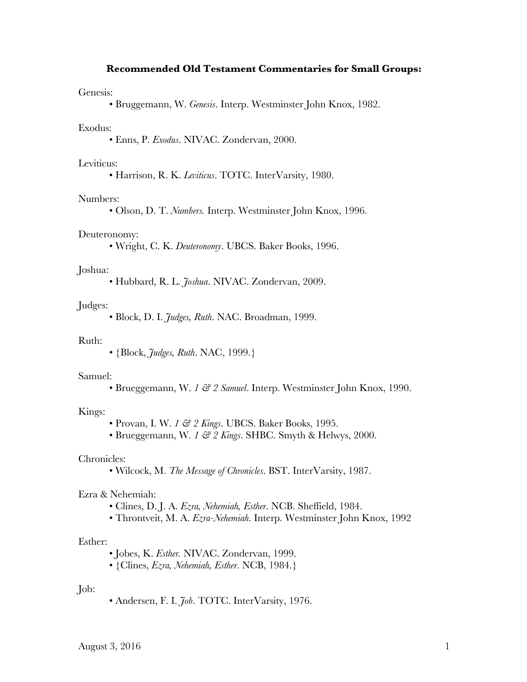## **Recommended Old Testament Commentaries for Small Groups:**

#### Genesis:

• Bruggemann, W. *Genesis*. Interp. Westminster John Knox, 1982.

### Exodus:

• Enns, P. *Exodus*. NIVAC. Zondervan, 2000.

#### Leviticus:

• Harrison, R. K. *Leviticus*. TOTC. InterVarsity, 1980.

### Numbers:

• Olson, D. T. *Numbers.* Interp. Westminster John Knox, 1996.

#### Deuteronomy:

• Wright, C. K. *Deuteronomy*. UBCS. Baker Books, 1996.

#### Joshua:

• Hubbard, R. L. *Joshua*. NIVAC. Zondervan, 2009.

### Judges:

• Block, D. I. *Judges, Ruth*. NAC. Broadman, 1999.

#### Ruth:

• {Block, *Judges, Ruth*. NAC, 1999.}

## Samuel:

• Brueggemann, W. *1 & 2 Samuel*. Interp. Westminster John Knox, 1990.

## Kings:

- Provan, I. W. *1 & 2 Kings*. UBCS. Baker Books, 1995.
- Brueggemann, W. *1 & 2 Kings*. SHBC. Smyth & Helwys, 2000.

### Chronicles:

• Wilcock, M. *The Message of Chronicles*. BST. InterVarsity, 1987.

## Ezra & Nehemiah:

- Clines, D. J. A. *Ezra, Nehemiah, Esther*. NCB. Sheffield, 1984.
- Throntveit, M. A. *Ezra-Nehemiah*. Interp. Westminster John Knox, 1992

## Esther:

- Jobes, K. *Esther.* NIVAC. Zondervan, 1999.
- {Clines, *Ezra, Nehemiah, Esther*. NCB, 1984.}

# Job:

• Andersen, F. I. *Job*. TOTC. InterVarsity, 1976.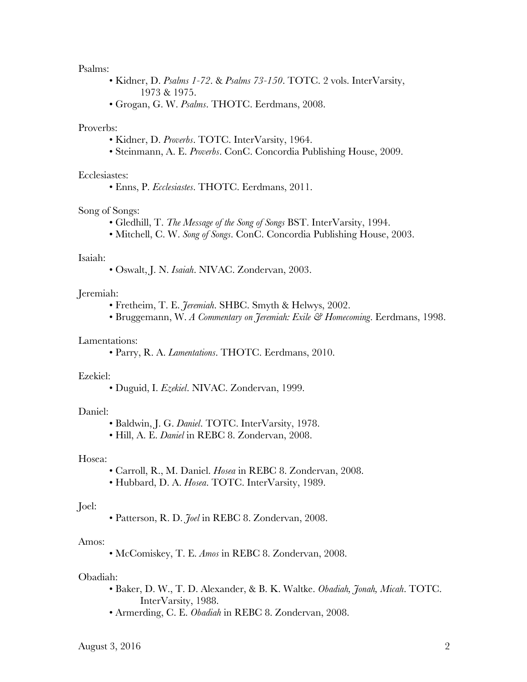## Psalms:

- Kidner, D. *Psalms 1-72*. & *Psalms 73-150*. TOTC. 2 vols. InterVarsity, 1973 & 1975.
- Grogan, G. W. *Psalms*. THOTC. Eerdmans, 2008.

## Proverbs:

- Kidner, D. *Proverbs*. TOTC. InterVarsity, 1964.
- Steinmann, A. E. *Proverbs*. ConC. Concordia Publishing House, 2009.

## Ecclesiastes:

• Enns, P. *Ecclesiastes*. THOTC. Eerdmans, 2011.

## Song of Songs:

- Gledhill, T. *The Message of the Song of Songs* BST. InterVarsity, 1994.
- Mitchell, C. W. *Song of Songs*. ConC. Concordia Publishing House, 2003.

## Isaiah:

• Oswalt, J. N. *Isaiah*. NIVAC. Zondervan, 2003.

## Jeremiah:

- Fretheim, T. E. *Jeremiah*. SHBC. Smyth & Helwys, 2002.
- Bruggemann, W. *A Commentary on Jeremiah: Exile & Homecoming*. Eerdmans, 1998.

## Lamentations:

• Parry, R. A. *Lamentations*. THOTC. Eerdmans, 2010.

#### Ezekiel:

• Duguid, I. *Ezekiel*. NIVAC. Zondervan, 1999.

### Daniel:

- Baldwin, J. G. *Daniel*. TOTC. InterVarsity, 1978.
- Hill, A. E. *Daniel* in REBC 8. Zondervan, 2008.

## Hosea:

- Carroll, R., M. Daniel. *Hosea* in REBC 8. Zondervan, 2008.
- Hubbard, D. A. *Hosea*. TOTC. InterVarsity, 1989.

#### Joel:

• Patterson, R. D. *Joel* in REBC 8. Zondervan, 2008.

### Amos:

• McComiskey, T. E. *Amos* in REBC 8. Zondervan, 2008.

#### Obadiah:

- Baker, D. W., T. D. Alexander, & B. K. Waltke. *Obadiah, Jonah, Micah*. TOTC. InterVarsity, 1988.
- Armerding, C. E. *Obadiah* in REBC 8. Zondervan, 2008.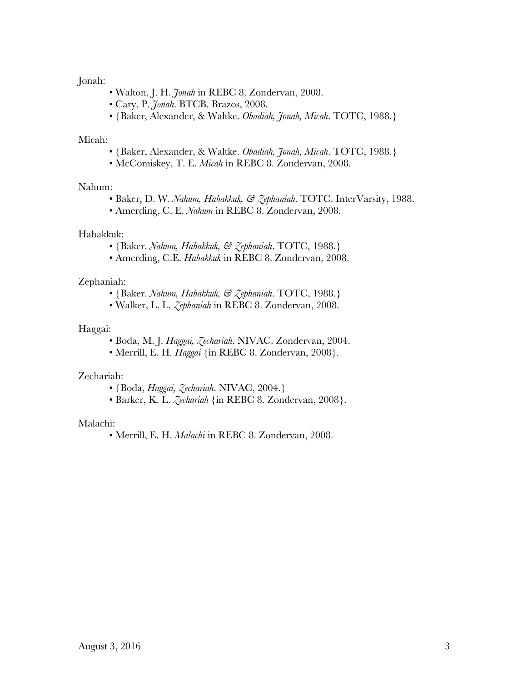# Jonah:

- Walton, J. H. *Jonah* in REBC 8. Zondervan, 2008.
- Cary, P. *Jonah*. BTCB. Brazos, 2008.
- {Baker, Alexander, & Waltke. *Obadiah, Jonah, Micah*. TOTC, 1988.}

## Micah:

- {Baker, Alexander, & Waltke. *Obadiah, Jonah, Micah*. TOTC, 1988.}
- McComiskey, T. E. *Micah* in REBC 8. Zondervan, 2008.

## Nahum:

- Baker, D. W. *Nahum, Habakkuk, & Zephaniah*. TOTC. InterVarsity, 1988.
- Amerding, C. E. *Nahum* in REBC 8. Zondervan, 2008.

## Habakkuk:

- {Baker. *Nahum, Habakkuk, & Zephaniah*. TOTC, 1988.}
- Amerding, C.E. *Habakkuk* in REBC 8. Zondervan, 2008.

# Zephaniah:

- {Baker. *Nahum, Habakkuk, & Zephaniah*. TOTC, 1988.}
- Walker, L. L. *Zephaniah* in REBC 8. Zondervan, 2008.

## Haggai:

- Boda, M. J. *Haggai, Zechariah*. NIVAC. Zondervan, 2004.
- Merrill, E. H. *Haggai* {in REBC 8. Zondervan, 2008}.

# Zechariah:

- {Boda, *Haggai, Zechariah*. NIVAC, 2004.}
- Barker, K. L. *Zechariah* {in REBC 8. Zondervan, 2008}.

# Malachi:

• Merrill, E. H. *Malachi* in REBC 8. Zondervan, 2008.